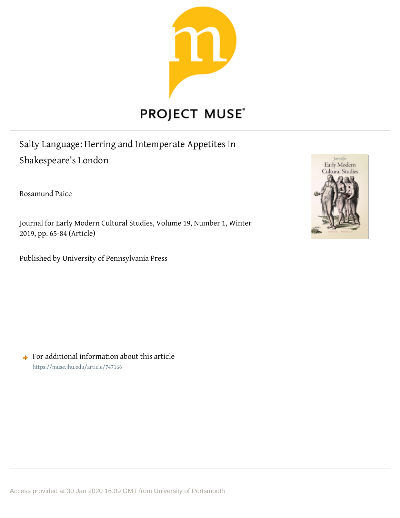

# **PROJECT MUSE®**

Salty Language: Herring and Intemperate Appetites in Shakespeare's London

Rosamund Paice

Journal for Early Modern Cultural Studies, Volume 19, Number 1, Winter 2019, pp. 65-84 (Article)

Published by University of Pennsylvania Press



 $\rightarrow$  For additional information about this article <https://muse.jhu.edu/article/747166>

Access provided at 30 Jan 2020 16:09 GMT from University of Portsmouth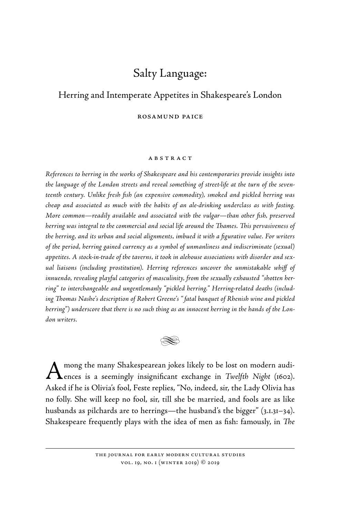## Salty Language:

### Herring and Intemperate Appetites in Shakespeare's London

rosamund paice

#### **ABSTRACT**

*References to herring in the works of Shakespeare and his contemporaries provide insights into the language of the London streets and reveal something of street- life at the turn of the seventeenth century. Unlike fresh fish (an expensive commodity), smoked and pickled herring was cheap and associated as much with the habits of an ale- drinking underclass as with fasting. More common—readily available and associated with the vulgar—than other fish, preserved herring was integral to the commercial and social life around the Thames. This pervasiveness of the herring, and its urban and social alignments, imbued it with a figurative value. For writers of the period, herring gained currency as a symbol of unmanliness and indiscriminate (sexual)*  appetites. A stock-in-trade of the taverns, it took in alehouse associations with disorder and sex*ual liaisons (including prostitution). Herring references uncover the unmistakable whiff of innuendo, revealing playful categories of masculinity, from the sexually exhausted "shotten herring" to interchangeable and ungentlemanly "pickled herring." Herring-related deaths (including Thomas Nashe's description of Robert Greene's " fatal banquet of Rhenish wine and pickled herring") underscore that there is no such thing as an innocent herring in the hands of the London writers.*



A mong the many Shakespearean jokes likely to be lost on modern audi-<br>ences is a seemingly insignificant exchange in *Twelfth Night* (1602). Asked if he is Olivia's fool, Feste replies, "No, indeed, sir, the Lady Olivia has no folly. She will keep no fool, sir, till she be married, and fools are as like husbands as pilchards are to herrings—the husband's the bigger" (3.1.31–34). Shakespeare frequently plays with the idea of men as fish: famously, in *The* 

> the journal for early modern cultural studies vol. 19, no. 1 (winter 2019) © 2019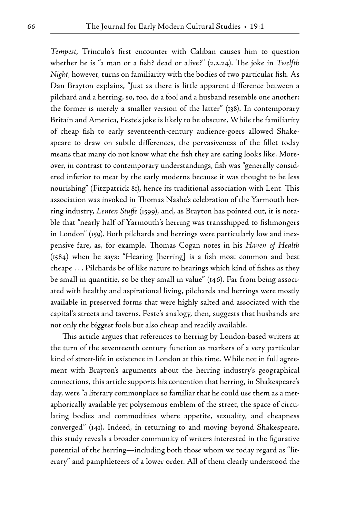*Tempest*, Trinculo's first encounter with Caliban causes him to question whether he is "a man or a fish? dead or alive?" (2.2.24). The joke in *Twelfth Night*, however, turns on familiarity with the bodies of two particular fish. As Dan Brayton explains, "Just as there is little apparent difference between a pilchard and a herring, so, too, do a fool and a husband resemble one another: the former is merely a smaller version of the latter" (138). In contemporary Britain and America, Feste's joke is likely to be obscure. While the familiarity of cheap fish to early seventeenth- century audience- goers allowed Shakespeare to draw on subtle differences, the pervasiveness of the fillet today means that many do not know what the fish they are eating looks like. Moreover, in contrast to contemporary understandings, fish was "generally considered inferior to meat by the early moderns because it was thought to be less nourishing" (Fitzpatrick 81), hence its traditional association with Lent. This association was invoked in Thomas Nashe's celebration of the Yarmouth herring industry, *Lenten Stuffe* (1599), and, as Brayton has pointed out, it is notable that "nearly half of Yarmouth's herring was transshipped to fishmongers in London" (159). Both pilchards and herrings were particularly low and inexpensive fare, as, for example, Thomas Cogan notes in his *Haven of Health* (1584) when he says: "Hearing [herring] is a fish most common and best cheape . . . Pilchards be of like nature to hearings which kind of fishes as they be small in quantitie, so be they small in value" (146). Far from being associated with healthy and aspirational living, pilchards and herrings were mostly available in preserved forms that were highly salted and associated with the capital's streets and taverns. Feste's analogy, then, suggests that husbands are not only the biggest fools but also cheap and readily available.

This article argues that references to herring by London-based writers at the turn of the seventeenth century function as markers of a very particular kind of street-life in existence in London at this time. While not in full agreement with Brayton's arguments about the herring industry's geographical connections, this article supports his contention that herring, in Shakespeare's day, were "a literary commonplace so familiar that he could use them as a metaphorically available yet polysemous emblem of the street, the space of circulating bodies and commodities where appetite, sexuality, and cheapness converged" (141). Indeed, in returning to and moving beyond Shakespeare, this study reveals a broader community of writers interested in the figurative potential of the herring—including both those whom we today regard as "literary" and pamphleteers of a lower order. All of them clearly understood the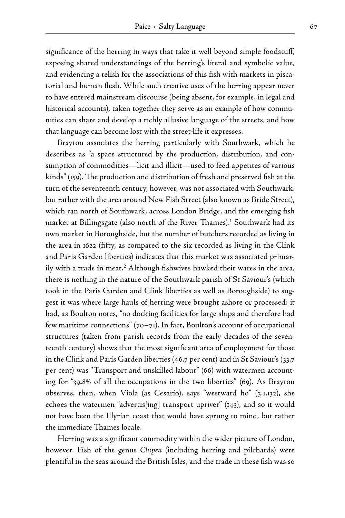significance of the herring in ways that take it well beyond simple foodstuff, exposing shared understandings of the herring's literal and symbolic value, and evidencing a relish for the associations of this fish with markets in piscatorial and human flesh. While such creative uses of the herring appear never to have entered mainstream discourse (being absent, for example, in legal and historical accounts), taken together they serve as an example of how communities can share and develop a richly allusive language of the streets, and how that language can become lost with the street-life it expresses.

 Brayton associates the herring particularly with Southwark, which he describes as "a space structured by the production, distribution, and consumption of commodities—licit and illicit—used to feed appetites of various kinds" (159). The production and distribution of fresh and preserved fish at the turn of the seventeenth century, however, was not associated with Southwark, but rather with the area around New Fish Street (also known as Bride Street), which ran north of Southwark, across London Bridge, and the emerging fish market at Billingsgate (also north of the River Thames). Southwark had its own market in Boroughside, but the number of butchers recorded as living in the area in 1622 (fifty, as compared to the six recorded as living in the Clink and Paris Garden liberties) indicates that this market was associated primarily with a trade in meat.<sup>2</sup> Although fishwives hawked their wares in the area, there is nothing in the nature of the Southwark parish of St Saviour's (which took in the Paris Garden and Clink liberties as well as Boroughside) to suggest it was where large hauls of herring were brought ashore or processed: it had, as Boulton notes, "no docking facilities for large ships and therefore had few maritime connections"  $(70-71)$ . In fact, Boulton's account of occupational structures (taken from parish records from the early decades of the seventeenth century) shows that the most significant area of employment for those in the Clink and Paris Garden liberties (46.7 per cent) and in St Saviour's (33.7 per cent) was "Transport and unskilled labour" (66) with watermen accounting for "39.8% of all the occupations in the two liberties" (69). As Brayton observes, then, when Viola (as Cesario), says "westward ho" (3.1.132), she echoes the watermen "advertis[ing] transport upriver" (143), and so it would not have been the Illyrian coast that would have sprung to mind, but rather the immediate Thames locale.

 Herring was a significant commodity within the wider picture of London, however. Fish of the genus *Clupea* (including herring and pilchards) were plentiful in the seas around the British Isles, and the trade in these fish was so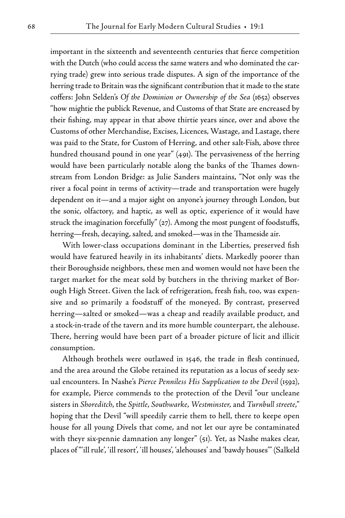important in the sixteenth and seventeenth centuries that fierce competition with the Dutch (who could access the same waters and who dominated the carrying trade) grew into serious trade disputes. A sign of the importance of the herring trade to Britain was the significant contribution that it made to the state coffers: John Selden's *Of the Dominion or Ownership of the Sea* (1652) observes "how mightie the publick Revenue, and Customs of that State are encreased by their fishing, may appear in that above thirtie years since, over and above the Customs of other Merchandise, Excises, Licences, Wastage, and Lastage, there was paid to the State, for Custom of Herring, and other salt- Fish, above three hundred thousand pound in one year" (491). The pervasiveness of the herring would have been particularly notable along the banks of the Thames downstream from London Bridge: as Julie Sanders maintains, "Not only was the river a focal point in terms of activity—trade and transportation were hugely dependent on it—and a major sight on anyone's journey through London, but the sonic, olfactory, and haptic, as well as optic, experience of it would have struck the imagination forcefully" (27). Among the most pungent of foodstuffs, herring—fresh, decaying, salted, and smoked—was in the Thameside air.

 With lower-class occupations dominant in the Liberties, preserved fish would have featured heavily in its inhabitants' diets. Markedly poorer than their Boroughside neighbors, these men and women would not have been the target market for the meat sold by butchers in the thriving market of Borough High Street. Given the lack of refrigeration, fresh fish, too, was expensive and so primarily a foodstuff of the moneyed. By contrast, preserved herring—salted or smoked—was a cheap and readily available product, and a stock- in- trade of the tavern and its more humble counterpart, the alehouse. There, herring would have been part of a broader picture of licit and illicit consumption.

 Although brothels were outlawed in 1546, the trade in flesh continued, and the area around the Globe retained its reputation as a locus of seedy sexual encounters. In Nashe's *Pierce Penniless His Supplication to the Devil* (1592), for example, Pierce commends to the protection of the Devil "our uncleane sisters in *Shoreditch*, the *Spittle*, *Southwarke*, *Westminster*, and *Turnbull streete*," hoping that the Devil "will speedily carrie them to hell, there to keepe open house for all young Divels that come, and not let our ayre be contaminated with theyr six-pennie damnation any longer" (51). Yet, as Nashe makes clear, places of "'ill rule', 'ill resort', 'ill houses', 'alehouses' and 'bawdy houses'" (Salkeld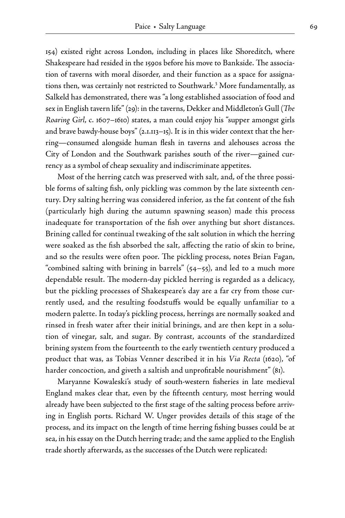154) existed right across London, including in places like Shoreditch, where Shakespeare had resided in the 1590s before his move to Bankside. The association of taverns with moral disorder, and their function as a space for assignations then, was certainly not restricted to Southwark. More fundamentally, as Salkeld has demonstrated, there was "a long established association of food and sex in English tavern life" (29): in the taverns, Dekker and Middleton's Gull (*The Roaring Girl*, c. 1607–1610) states, a man could enjoy his "supper amongst girls and brave bawdy-house boys"  $(2.1.113 - 15)$ . It is in this wider context that the herring—consumed alongside human flesh in taverns and alehouses across the City of London and the Southwark parishes south of the river—gained currency as a symbol of cheap sexuality and indiscriminate appetites.

 Most of the herring catch was preserved with salt, and, of the three possible forms of salting fish, only pickling was common by the late sixteenth century. Dry salting herring was considered inferior, as the fat content of the fish (particularly high during the autumn spawning season) made this process inadequate for transportation of the fish over anything but short distances. Brining called for continual tweaking of the salt solution in which the herring were soaked as the fish absorbed the salt, affecting the ratio of skin to brine, and so the results were often poor. The pickling process, notes Brian Fagan, "combined salting with brining in barrels" (54–55), and led to a much more dependable result. The modern- day pickled herring is regarded as a delicacy, but the pickling processes of Shakespeare's day are a far cry from those currently used, and the resulting foodstuffs would be equally unfamiliar to a modern palette. In today's pickling process, herrings are normally soaked and rinsed in fresh water after their initial brinings, and are then kept in a solution of vinegar, salt, and sugar. By contrast, accounts of the standardized brining system from the fourteenth to the early twentieth century produced a product that was, as Tobias Venner described it in his *Via Recta* (1620), "of harder concoction, and giveth a saltish and unprofitable nourishment" (81).

 Maryanne Kowaleski's study of south- western fisheries in late medieval England makes clear that, even by the fifteenth century, most herring would already have been subjected to the first stage of the salting process before arriving in English ports. Richard W. Unger provides details of this stage of the process, and its impact on the length of time herring fishing busses could be at sea, in his essay on the Dutch herring trade; and the same applied to the English trade shortly afterwards, as the successes of the Dutch were replicated: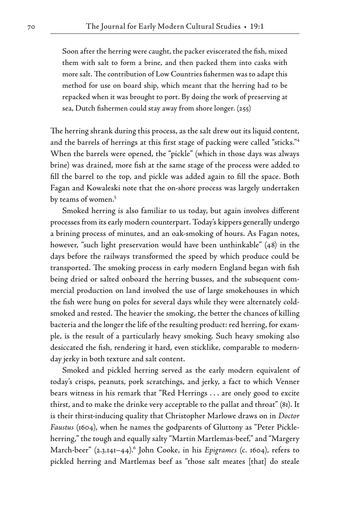Soon after the herring were caught, the packer eviscerated the fish, mixed them with salt to form a brine, and then packed them into casks with more salt. The contribution of Low Countries fishermen was to adapt this method for use on board ship, which meant that the herring had to be repacked when it was brought to port. By doing the work of preserving at sea, Dutch fishermen could stay away from shore longer. (255)

The herring shrank during this process, as the salt drew out its liquid content, and the barrels of herrings at this first stage of packing were called "sticks." When the barrels were opened, the "pickle" (which in those days was always brine) was drained, more fish at the same stage of the process were added to fill the barrel to the top, and pickle was added again to fill the space. Both Fagan and Kowaleski note that the on- shore process was largely undertaken by teams of women.

 Smoked herring is also familiar to us today, but again involves different processes from its early modern counterpart. Today's kippers generally undergo a brining process of minutes, and an oak-smoking of hours. As Fagan notes, however, "such light preservation would have been unthinkable" (48) in the days before the railways transformed the speed by which produce could be transported. The smoking process in early modern England began with fish being dried or salted onboard the herring busses, and the subsequent commercial production on land involved the use of large smokehouses in which the fish were hung on poles for several days while they were alternately coldsmoked and rested. The heavier the smoking, the better the chances of killing bacteria and the longer the life of the resulting product: red herring, for example, is the result of a particularly heavy smoking. Such heavy smoking also desiccated the fish, rendering it hard, even sticklike, comparable to modernday jerky in both texture and salt content.

 Smoked and pickled herring served as the early modern equivalent of today's crisps, peanuts, pork scratchings, and jerky, a fact to which Venner bears witness in his remark that "Red Herrings . . . are onely good to excite thirst, and to make the drinke very acceptable to the pallat and throat" (81). It is their thirst- inducing quality that Christopher Marlowe draws on in *Doctor Faustus* (1604), when he names the godparents of Gluttony as "Peter Pickleherring," the tough and equally salty "Martin Martlemas- beef," and "Margery March- beer" (2.3.141–44). John Cooke, in his *Epigrames* (c. 1604), refers to pickled herring and Martlemas beef as "those salt meates [that] do steale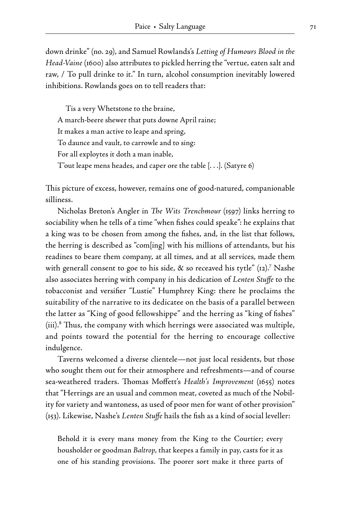down drinke" (no. 29), and Samuel Rowlands's *Letting of Humours Blood in the Head- Vaine* (1600) also attributes to pickled herring the "vertue, eaten salt and raw, / To pull drinke to it." In turn, alcohol consumption inevitably lowered inhibitions. Rowlands goes on to tell readers that:

 Tis a very Whetstone to the braine, A march- beere shewer that puts downe April raine; It makes a man active to leape and spring, To daunce and vault, to carrowle and to sing: For all exploytes it doth a man inable, T'out leape mens heades, and caper ore the table [. . .]. (Satyre 6)

This picture of excess, however, remains one of good-natured, companionable silliness.

 Nicholas Breton's Angler in *The Wits Trenchmour* (1597) links herring to sociability when he tells of a time "when fishes could speake": he explains that a king was to be chosen from among the fishes, and, in the list that follows, the herring is described as "com[ing] with his millions of attendants, but his readines to beare them company, at all times, and at all services, made them with generall consent to goe to his side, & so receaved his tytle" (12). Nashe also associates herring with company in his dedication of *Lenten Stuffe* to the tobacconist and versifier "Lustie" Humphrey King: there he proclaims the suitability of the narrative to its dedicatee on the basis of a parallel between the latter as "King of good fellowshippe" and the herring as "king of fishes" (iii). Thus, the company with which herrings were associated was multiple, and points toward the potential for the herring to encourage collective indulgence.

 Taverns welcomed a diverse clientele—not just local residents, but those who sought them out for their atmosphere and refreshments—and of course sea- weathered traders. Thomas Moffett's *Health's Improvement* (1655) notes that "Herrings are an usual and common meat, coveted as much of the Nobility for variety and wantoness, as used of poor men for want of other provision" (153). Likewise, Nashe's *Lenten Stuffe* hails the fish as a kind of social leveller:

Behold it is every mans money from the King to the Courtier; every housholder or goodman *Baltrop*, that keepes a family in pay, casts for it as one of his standing provisions. The poorer sort make it three parts of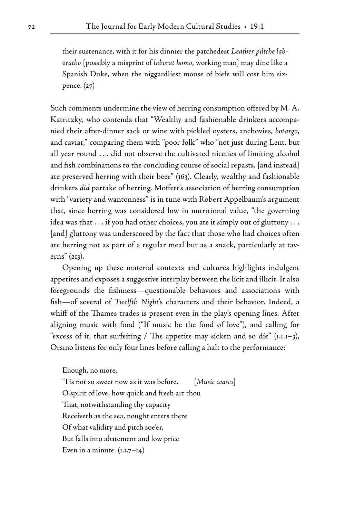their sustenance, with it for his dinnier the patchedest *Leather piltche laboratho* [possibly a misprint of *laborat homo*, working man] may dine like a Spanish Duke, when the niggardliest mouse of biefe will cost him sixpence. (27)

Such comments undermine the view of herring consumption offered by M. A. Katritzky, who contends that "Wealthy and fashionable drinkers accompanied their after- dinner sack or wine with pickled oysters, anchovies, *botargo*, and caviar," comparing them with "poor folk" who "not just during Lent, but all year round . . . did not observe the cultivated niceties of limiting alcohol and fish combinations to the concluding course of social repasts, [and instead] ate preserved herring with their beer" (163). Clearly, wealthy and fashionable drinkers *did* partake of herring. Moffett's association of herring consumption with "variety and wantonness" is in tune with Robert Appelbaum's argument that, since herring was considered low in nutritional value, "the governing idea was that . . . if you had other choices, you ate it simply out of gluttony . . . [and] gluttony was underscored by the fact that those who had choices often ate herring not as part of a regular meal but as a snack, particularly at taverns" (213).

 Opening up these material contexts and cultures highlights indulgent appetites and exposes a suggestive interplay between the licit and illicit. It also foregrounds the fishiness—questionable behaviors and associations with fish—of several of *Twelfth Night*'s characters and their behavior. Indeed, a whiff of the Thames trades is present even in the play's opening lines. After aligning music with food ("If music be the food of love"), and calling for "excess of it, that surfeiting / The appetite may sicken and so die" (1.1.1–3), Orsino listens for only four lines before calling a halt to the performance:

Enough, no more,

'Tis not so sweet now as it was before. [*Music ceases*] O spirit of love, how quick and fresh art thou That, notwithstanding thy capacity Receiveth as the sea, nought enters there Of what validity and pitch soe'er, But falls into abatement and low price Even in a minute.  $(I.I.7-I4)$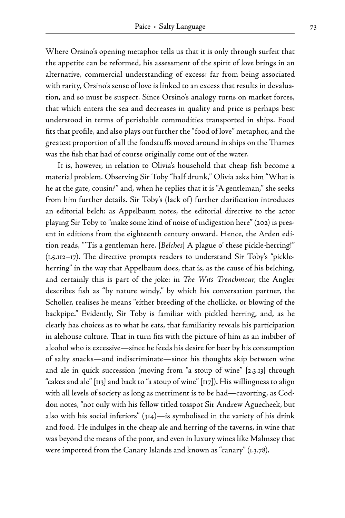Where Orsino's opening metaphor tells us that it is only through surfeit that the appetite can be reformed, his assessment of the spirit of love brings in an alternative, commercial understanding of excess: far from being associated with rarity, Orsino's sense of love is linked to an excess that results in devaluation, and so must be suspect. Since Orsino's analogy turns on market forces, that which enters the sea and decreases in quality and price is perhaps best understood in terms of perishable commodities transported in ships. Food fits that profile, and also plays out further the "food of love" metaphor, and the greatest proportion of all the foodstuffs moved around in ships on the Thames was the fish that had of course originally come out of the water.

 It is, however, in relation to Olivia's household that cheap fish become a material problem. Observing Sir Toby "half drunk," Olivia asks him "What is he at the gate, cousin?" and, when he replies that it is "A gentleman," she seeks from him further details. Sir Toby's (lack of) further clarification introduces an editorial belch: as Appelbaum notes, the editorial directive to the actor playing Sir Toby to "make some kind of noise of indigestion here" (202) is present in editions from the eighteenth century onward. Hence, the Arden edition reads, " 'Tis a gentleman here. [*Belches*] A plague o' these pickle- herring!" (1.5.112–17). The directive prompts readers to understand Sir Toby's "pickleherring" in the way that Appelbaum does, that is, as the cause of his belching, and certainly this is part of the joke: in *The Wits Trenchmour*, the Angler describes fish as "by nature windy," by which his conversation partner, the Scholler, realises he means "either breeding of the chollicke, or blowing of the backpipe." Evidently, Sir Toby is familiar with pickled herring, and, as he clearly has choices as to what he eats, that familiarity reveals his participation in alehouse culture. That in turn fits with the picture of him as an imbiber of alcohol who is excessive—since he feeds his desire for beer by his consumption of salty snacks—and indiscriminate—since his thoughts skip between wine and ale in quick succession (moving from "a stoup of wine" [2.3.13] through "cakes and ale" [113] and back to "a stoup of wine" [117]). His willingness to align with all levels of society as long as merriment is to be had—cavorting, as Coddon notes, "not only with his fellow titled tosspot Sir Andrew Aguecheek, but also with his social inferiors" (314)—is symbolised in the variety of his drink and food. He indulges in the cheap ale and herring of the taverns, in wine that was beyond the means of the poor, and even in luxury wines like Malmsey that were imported from the Canary Islands and known as "canary" (1.3.78).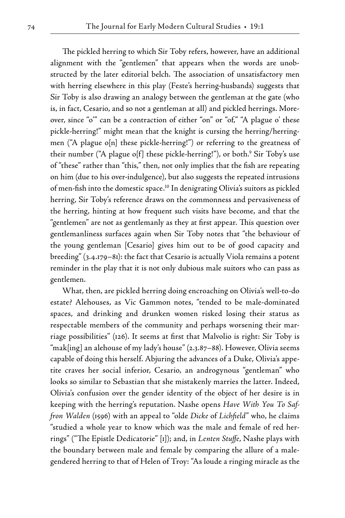The pickled herring to which Sir Toby refers, however, have an additional alignment with the "gentlemen" that appears when the words are unobstructed by the later editorial belch. The association of unsatisfactory men with herring elsewhere in this play (Feste's herring-husbands) suggests that Sir Toby is also drawing an analogy between the gentleman at the gate (who is, in fact, Cesario, and so not a gentleman at all) and pickled herrings. Moreover, since "o" can be a contraction of either "on" or "of," "A plague o' these pickle- herring!" might mean that the knight is cursing the herring/herringmen ("A plague o[n] these pickle-herring!") or referring to the greatness of their number ("A plague o[f] these pickle-herring!"), or both.<sup>9</sup> Sir Toby's use of "these" rather than "this," then, not only implies that the fish are repeating on him (due to his over-indulgence), but also suggests the repeated intrusions of men-fish into the domestic space.<sup>10</sup> In denigrating Olivia's suitors as pickled herring, Sir Toby's reference draws on the commonness and pervasiveness of the herring, hinting at how frequent such visits have become, and that the "gentlemen" are not as gentlemanly as they at first appear. This question over gentlemanliness surfaces again when Sir Toby notes that "the behaviour of the young gentleman [Cesario] gives him out to be of good capacity and breeding" (3.4.179–81): the fact that Cesario is actually Viola remains a potent reminder in the play that it is not only dubious male suitors who can pass as gentlemen.

What, then, are pickled herring doing encroaching on Olivia's well-to-do estate? Alehouses, as Vic Gammon notes, "tended to be male- dominated spaces, and drinking and drunken women risked losing their status as respectable members of the community and perhaps worsening their marriage possibilities" (126). It seems at first that Malvolio is right: Sir Toby is "mak[ing] an alehouse of my lady's house" (2.3.87–88). However, Olivia seems capable of doing this herself. Abjuring the advances of a Duke, Olivia's appetite craves her social inferior, Cesario, an androgynous "gentleman" who looks so similar to Sebastian that she mistakenly marries the latter. Indeed, Olivia's confusion over the gender identity of the object of her desire is in keeping with the herring's reputation. Nashe opens *Have With You To Saffron Walden* (1596) with an appeal to "olde *Dicke* of *Lichfield*" who, he claims "studied a whole year to know which was the male and female of red herrings" ("The Epistle Dedicatorie" [1]); and, in *Lenten Stuffe*, Nashe plays with the boundary between male and female by comparing the allure of a malegendered herring to that of Helen of Troy: "As loude a ringing miracle as the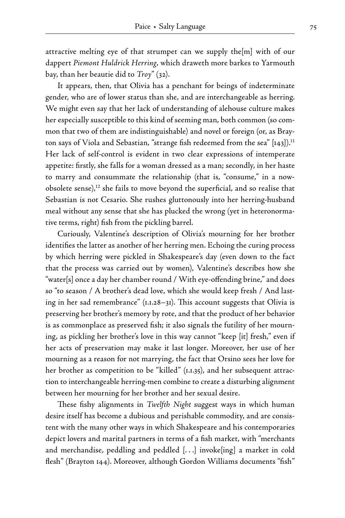attractive melting eye of that strumpet can we supply the[m] with of our dappert *Piemont Huldrick Herring*, which draweth more barkes to Yarmouth bay, than her beautie did to *Troy*" (32).

 It appears, then, that Olivia has a penchant for beings of indeterminate gender, who are of lower status than she, and are interchangeable as herring. We might even say that her lack of understanding of alehouse culture makes her especially susceptible to this kind of seeming man, both common (so common that two of them are indistinguishable) and novel or foreign (or, as Brayton says of Viola and Sebastian, "strange fish redeemed from the sea" [143]).<sup>11</sup> Her lack of self-control is evident in two clear expressions of intemperate appetite: firstly, she falls for a woman dressed as a man; secondly, in her haste to marry and consummate the relationship (that is, "consume," in a nowobsolete sense), $^{12}$  she fails to move beyond the superficial, and so realise that Sebastian is not Cesario. She rushes gluttonously into her herring-husband meal without any sense that she has plucked the wrong (yet in heteronormative terms, right) fish from the pickling barrel.

 Curiously, Valentine's description of Olivia's mourning for her brother identifies the latter as another of her herring men. Echoing the curing process by which herring were pickled in Shakespeare's day (even down to the fact that the process was carried out by women), Valentine's describes how she "water[s] once a day her chamber round / With eye- offending brine," and does so "to season / A brother's dead love, which she would keep fresh / And lasting in her sad remembrance" (1.1.28–31). This account suggests that Olivia is preserving her brother's memory by rote, and that the product of her behavior is as commonplace as preserved fish; it also signals the futility of her mourning, as pickling her brother's love in this way cannot "keep [it] fresh," even if her acts of preservation may make it last longer. Moreover, her use of her mourning as a reason for not marrying, the fact that Orsino sees her love for her brother as competition to be "killed" (1.1.35), and her subsequent attraction to interchangeable herring- men combine to create a disturbing alignment between her mourning for her brother and her sexual desire.

 These fishy alignments in *Twelfth Night* suggest ways in which human desire itself has become a dubious and perishable commodity, and are consistent with the many other ways in which Shakespeare and his contemporaries depict lovers and marital partners in terms of a fish market, with "merchants and merchandise, peddling and peddled [. . .] invoke[ing] a market in cold flesh" (Brayton 144). Moreover, although Gordon Williams documents "fish"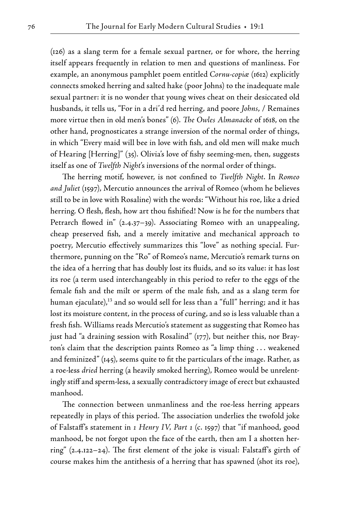(126) as a slang term for a female sexual partner, or for whore, the herring itself appears frequently in relation to men and questions of manliness. For example, an anonymous pamphlet poem entitled *Cornu- copiæ* (1612) explicitly connects smoked herring and salted hake (poor Johns) to the inadequate male sexual partner: it is no wonder that young wives cheat on their desiccated old husbands, it tells us, "For in a dri'd red herring, and poore *Johns*, / Remaines more virtue then in old men's bones" (6). *The Owles Almanacke* of 1618, on the other hand, prognosticates a strange inversion of the normal order of things, in which "Every maid will bee in love with fish, and old men will make much of Hearing [Herring]" (35). Olivia's love of fishy seeming- men, then, suggests itself as one of *Twelfth Night*'s inversions of the normal order of things.

 The herring motif, however, is not confined to *Twelfth Night*. In *Romeo and Juliet* (1597), Mercutio announces the arrival of Romeo (whom he believes still to be in love with Rosaline) with the words: "Without his roe, like a dried herring. O flesh, flesh, how art thou fishified! Now is he for the numbers that Petrarch flowed in" (2.4.37–39). Associating Romeo with an unappealing, cheap preserved fish, and a merely imitative and mechanical approach to poetry, Mercutio effectively summarizes this "love" as nothing special. Furthermore, punning on the "Ro" of Romeo's name, Mercutio's remark turns on the idea of a herring that has doubly lost its fluids, and so its value: it has lost its roe (a term used interchangeably in this period to refer to the eggs of the female fish and the milt or sperm of the male fish, and as a slang term for human ejaculate), $^{13}$  and so would sell for less than a "full" herring; and it has lost its moisture content, in the process of curing, and so is less valuable than a fresh fish. Williams reads Mercutio's statement as suggesting that Romeo has just had "a draining session with Rosalind" (177), but neither this, nor Brayton's claim that the description paints Romeo as "a limp thing . . . weakened and feminized" (145), seems quite to fit the particulars of the image. Rather, as a roe- less *dried* herring (a heavily smoked herring), Romeo would be unrelentingly stiff and sperm- less, a sexually contradictory image of erect but exhausted manhood.

The connection between unmanliness and the roe-less herring appears repeatedly in plays of this period. The association underlies the twofold joke of Falstaff's statement in *1 Henry IV, Part 1* (c. 1597) that "if manhood, good manhood, be not forgot upon the face of the earth, then am I a shotten herring" (2.4.122–24). The first element of the joke is visual: Falstaff's girth of course makes him the antithesis of a herring that has spawned (shot its roe),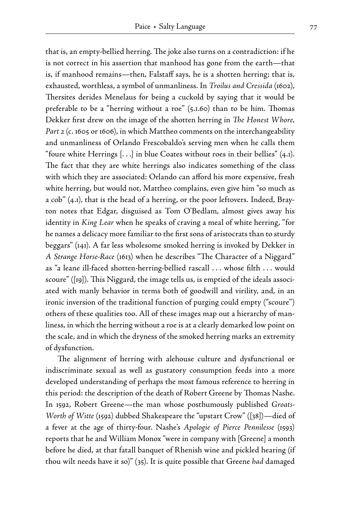that is, an empty- bellied herring. The joke also turns on a contradiction: if he is not correct in his assertion that manhood has gone from the earth—that is, if manhood remains—then, Falstaff says, he is a shotten herring; that is, exhausted, worthless, a symbol of unmanliness. In *Troilus and Cressida* (1602), Thersites derides Menelaus for being a cuckold by saying that it would be preferable to be a "herring without a roe" (5.1.60) than to be him. Thomas Dekker first drew on the image of the shotten herring in *The Honest Whore, Part 2* (c. 1605 or 1606), in which Mattheo comments on the interchangeability and unmanliness of Orlando Frescobaldo's serving men when he calls them "foure white Herrings  $[ \ldots ]$  in blue Coates without roes in their bellies"  $(4,I)$ . The fact that they are white herrings also indicates something of the class with which they are associated: Orlando can afford his more expensive, fresh white herring, but would not, Mattheo complains, even give him "so much as a cob" (4.1), that is the head of a herring, or the poor leftovers. Indeed, Brayton notes that Edgar, disguised as Tom O'Bedlam, almost gives away his identity in *King Lear* when he speaks of craving a meal of white herring, "for he names a delicacy more familiar to the first sons of aristocrats than to sturdy beggars" (141). A far less wholesome smoked herring is invoked by Dekker in *A Strange Horse- Race* (1613) when he describes "The Character of a Niggard" as "a leane ill-faced shotten-herring-bellied rascall ... whose filth ... would scoure" ([19]). This Niggard, the image tells us, is emptied of the ideals associated with manly behavior in terms both of goodwill and virility, and, in an ironic inversion of the traditional function of purging could empty ("scoure") others of these qualities too. All of these images map out a hierarchy of manliness, in which the herring without a roe is at a clearly demarked low point on the scale, and in which the dryness of the smoked herring marks an extremity of dysfunction.

 The alignment of herring with alehouse culture and dysfunctional or indiscriminate sexual as well as gustatory consumption feeds into a more developed understanding of perhaps the most famous reference to herring in this period: the description of the death of Robert Greene by Thomas Nashe. In 1592, Robert Greene—the man whose posthumously published *Groats-Worth of Witte* (1592) dubbed Shakespeare the "upstart Crow" ([38])—died of a fever at the age of thirty- four. Nashe's *Apologie of Pierce Pennilesse* (1593) reports that he and William Monox "were in company with [Greene] a month before he died, at that fatall banquet of Rhenish wine and pickled hearing (if thou wilt needs have it so)" (35). It is quite possible that Greene *had* damaged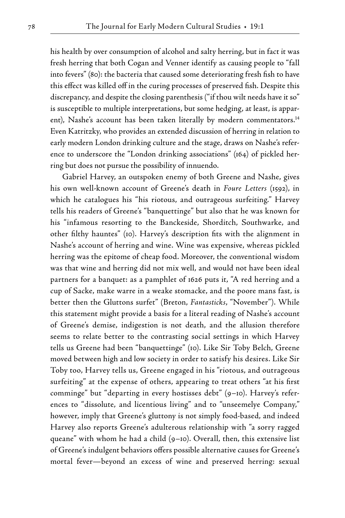his health by over consumption of alcohol and salty herring, but in fact it was fresh herring that both Cogan and Venner identify as causing people to "fall into fevers" (80): the bacteria that caused some deteriorating fresh fish to have this effect was killed off in the curing processes of preserved fish. Despite this discrepancy, and despite the closing parenthesis ("if thou wilt needs have it so" is susceptible to multiple interpretations, but some hedging, at least, is apparent), Nashe's account has been taken literally by modern commentators.<sup>14</sup> Even Katritzky, who provides an extended discussion of herring in relation to early modern London drinking culture and the stage, draws on Nashe's reference to underscore the "London drinking associations" (164) of pickled herring but does not pursue the possibility of innuendo.

 Gabriel Harvey, an outspoken enemy of both Greene and Nashe, gives his own well-known account of Greene's death in *Foure Letters* (1592), in which he catalogues his "his riotous, and outrageous surfeiting." Harvey tells his readers of Greene's "banquettinge" but also that he was known for his "infamous resorting to the Banckeside, Shorditch, Southwarke, and other filthy hauntes" (10). Harvey's description fits with the alignment in Nashe's account of herring and wine. Wine was expensive, whereas pickled herring was the epitome of cheap food. Moreover, the conventional wisdom was that wine and herring did not mix well, and would not have been ideal partners for a banquet: as a pamphlet of 1626 puts it, "A red herring and a cup of Sacke, make warre in a weake stomacke, and the poore mans fast, is better then the Gluttons surfet" (Breton, *Fantasticks*, "November"). While this statement might provide a basis for a literal reading of Nashe's account of Greene's demise, indigestion is not death, and the allusion therefore seems to relate better to the contrasting social settings in which Harvey tells us Greene had been "banquettinge" (10). Like Sir Toby Belch, Greene moved between high and low society in order to satisfy his desires. Like Sir Toby too, Harvey tells us, Greene engaged in his "riotous, and outrageous surfeiting" at the expense of others, appearing to treat others "at his first comminge" but "departing in every hostisses debt" (9–10). Harvey's references to "dissolute, and licentious living" and to "unseemelye Company," however, imply that Greene's gluttony is not simply food-based, and indeed Harvey also reports Greene's adulterous relationship with "a sorry ragged queane" with whom he had a child (9–10). Overall, then, this extensive list of Greene's indulgent behaviors offers possible alternative causes for Greene's mortal fever—beyond an excess of wine and preserved herring: sexual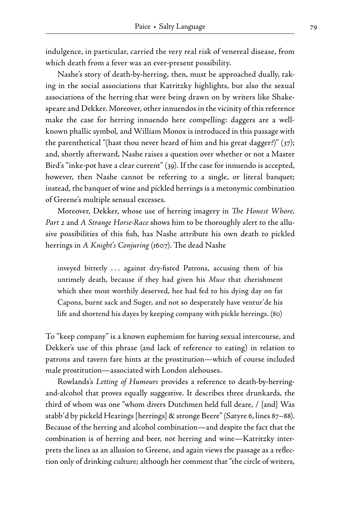indulgence, in particular, carried the very real risk of venereal disease, from which death from a fever was an ever-present possibility.

Nashe's story of death-by-herring, then, must be approached dually, taking in the social associations that Katritzky highlights, but also the sexual associations of the herring that were being drawn on by writers like Shakespeare and Dekker. Moreover, other innuendos in the vicinity of this reference make the case for herring innuendo here compelling: daggers are a wellknown phallic symbol, and William Monox is introduced in this passage with the parenthetical "(hast thou never heard of him and his great dagger?)" (37); and, shortly afterward, Nashe raises a question over whether or not a Master Bird's "inke-pot have a clear current" (39). If the case for innuendo is accepted, however, then Nashe cannot be referring to a single, or literal banquet; instead, the banquet of wine and pickled herrings is a metonymic combination of Greene's multiple sensual excesses.

 Moreover, Dekker, whose use of herring imagery in *The Honest Whore,*  Part 2 and A Strange Horse-Race shows him to be thoroughly alert to the allusive possibilities of this fish, has Nashe attribute his own death to pickled herrings in *A Knight's Conjuring* (1607). The dead Nashe

inveyed bitterly . . . against dry- fisted Patrons, accusing them of his untimely death, because if they had given his *Muse* that cherishment which shee most worthily deserved, hee had fed to his dying day on fat Capons, burnt sack and Suger, and not so desperately have ventur'de his life and shortend his dayes by keeping company with pickle herrings. (80)

To "keep company" is a known euphemism for having sexual intercourse, and Dekker's use of this phrase (and lack of reference to eating) in relation to patrons and tavern fare hints at the prostitution—which of course included male prostitution—associated with London alehouses.

Rowlands's Letting of Humours provides a reference to death-by-herringand- alcohol that proves equally suggestive. It describes three drunkards, the third of whom was one "whom divers Dutchmen held full deare, / [and] Was stabb'd by pickeld Hearings [herrings] & stronge Beere" (Satyre 6, lines 87–88). Because of the herring and alcohol combination—and despite the fact that the combination is of herring and beer, not herring and wine—Katritzky interprets the lines as an allusion to Greene, and again views the passage as a reflection only of drinking culture; although her comment that "the circle of writers,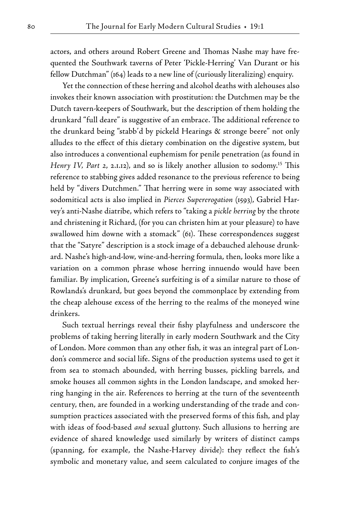actors, and others around Robert Greene and Thomas Nashe may have frequented the Southwark taverns of Peter 'Pickle- Herring' Van Durant or his fellow Dutchman" (164) leads to a new line of (curiously literalizing) enquiry.

 Yet the connection of these herring and alcohol deaths with alehouses also invokes their known association with prostitution: the Dutchmen may be the Dutch tavern- keepers of Southwark, but the description of them holding the drunkard "full deare" is suggestive of an embrace. The additional reference to the drunkard being "stabb'd by pickeld Hearings & stronge beere" not only alludes to the effect of this dietary combination on the digestive system, but also introduces a conventional euphemism for penile penetration (as found in *Henry IV, Part 2, 2.1.12*), and so is likely another allusion to sodomy.<sup>15</sup> This reference to stabbing gives added resonance to the previous reference to being held by "divers Dutchmen." That herring were in some way associated with sodomitical acts is also implied in *Pierces Supererogation* (1593), Gabriel Harvey's anti- Nashe diatribe, which refers to "taking a *pickle herring* by the throte and christening it Richard, (for you can christen him at your pleasure) to have swallowed him downe with a stomack" (61). These correspondences suggest that the "Satyre" description is a stock image of a debauched alehouse drunkard. Nashe's high- and- low, wine- and- herring formula, then, looks more like a variation on a common phrase whose herring innuendo would have been familiar. By implication, Greene's surfeiting is of a similar nature to those of Rowlands's drunkard, but goes beyond the commonplace by extending from the cheap alehouse excess of the herring to the realms of the moneyed wine drinkers.

 Such textual herrings reveal their fishy playfulness and underscore the problems of taking herring literally in early modern Southwark and the City of London. More common than any other fish, it was an integral part of London's commerce and social life. Signs of the production systems used to get it from sea to stomach abounded, with herring busses, pickling barrels, and smoke houses all common sights in the London landscape, and smoked herring hanging in the air. References to herring at the turn of the seventeenth century, then, are founded in a working understanding of the trade and consumption practices associated with the preserved forms of this fish, and play with ideas of food- based *and* sexual gluttony. Such allusions to herring are evidence of shared knowledge used similarly by writers of distinct camps (spanning, for example, the Nashe- Harvey divide): they reflect the fish's symbolic and monetary value, and seem calculated to conjure images of the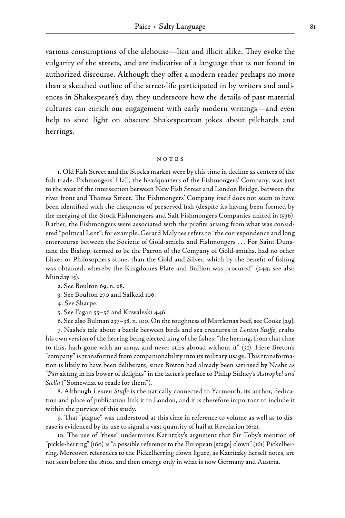various consumptions of the alehouse—licit and illicit alike. They evoke the vulgarity of the streets, and are indicative of a language that is not found in authorized discourse. Although they offer a modern reader perhaps no more than a sketched outline of the street-life participated in by writers and audiences in Shakespeare's day, they underscore how the details of past material cultures can enrich our engagement with early modern writings—and even help to shed light on obscure Shakespearean jokes about pilchards and herrings.

#### notes

1. Old Fish Street and the Stocks market were by this time in decline as centers of the fish trade. Fishmongers' Hall, the headquarters of the Fishmongers' Company, was just to the west of the intersection between New Fish Street and London Bridge, between the river front and Thames Street. The Fishmongers' Company itself does not seem to have been identified with the cheapness of preserved fish (despite its having been formed by the merging of the Stock Fishmongers and Salt Fishmongers Companies united in 1536). Rather, the Fishmongers were associated with the profits arising from what was considered "political Lent": for example, Gerard Malynes refers to "the correspondence and long entercourse between the Societie of Gold-smiths and Fishmongers . . . For Saint Dunstane the Bishop, termed to be the Patron of the Company of Gold- smiths, had no other Elixer or Philosophers stone, than the Gold and Silver, which by the benefit of fishing was obtained, whereby the Kingdomes Plate and Bullion was procured" (249; see also Munday 15).

2. See Boulton 69, n. 28.

3. See Boulton 270 and Salkeld 106.

4. See Sharpe.

5. See Fagan 55–56 and Kowaleski 446.

6. See also Bulman 237–38, n. 100. On the toughness of Martlemas beef, see Cooke [29].

7. Nashe's tale about a battle between birds and sea creatures in *Lenten Stuffe*, crafts his own version of the herring being elected king of the fishes: "the herring, from that time to this, hath gone with an army, and never stirs abroad without it" (31). Here Breton's "company" is transformed from companionability into its military usage. This transformation is likely to have been deliberate, since Breton had already been satirised by Nashe as "*Pan* sitting in his bower of delights" in the latter's preface to Philip Sidney's *Astrophel and Stella* ("Somewhat to reade for them").

8. Although *Lenten Stuffe* is thematically connected to Yarmouth, its author, dedication and place of publication link it to London, and it is therefore important to include it within the purview of this study.

9. That "plague" was understood at this time in reference to volume as well as to disease is evidenced by its use to signal a vast quantity of hail at Revelation 16:21.

10. The use of "these" undermines Katritzky's argument that Sir Toby's mention of "pickle- herring" (160) is "a possible reference to the European [stage] clown" (161) Pickelherring. Moreover, references to the Pickelherring clown figure, as Katritzky herself notes, are not seen before the 1610s, and then emerge only in what is now Germany and Austria.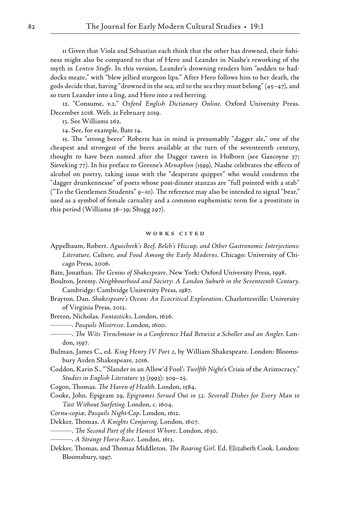11 Given that Viola and Sebastian each think that the other has drowned, their fishiness might also be compared to that of Hero and Leander in Nashe's reworking of the myth in *Lenten Stuffe*. In this version, Leander's drowning renders him "sodden to haddocks meate," with "blew jellied sturgeon lips." After Hero follows him to her death, the gods decide that, having "drowned in the sea, stil to the sea they must belong" (45–47), and so turn Leander into a ling, and Hero into a red herring.

12. "Consume, v.2." *Oxford English Dictionary Online*. Oxford University Press. December 2018. Web. 21 February 2019.

13. See Williams 262.

14. See, for example, Bate 14.

15. The "strong beere" Roberts has in mind is presumably "dagger ale," one of the cheapest and strongest of the beers available at the turn of the seventeenth century, thought to have been named after the Dagger tavern in Holborn (see Gascoyne 37; Sieveking 77). In his preface to Greene's *Menaphon* (1599), Nashe celebrates the effects of alcohol on poetry, taking issue with the "desperate quipper" who would condemn the "dagger drunkennesse" of poets whose post- dinner stanzas are "full pointed with a stab" ("To the Gentlemen Students" 9–10). The reference may also be intended to signal "bear," used as a symbol of female carnality and a common euphemistic term for a prostitute in this period (Williams 38–39; Shugg 297).

#### WORKS CITED

- Appelbaum, Robert. *Aguecheek's Beef, Belch's Hiccup, and Other Gastronomic Interjections: Literature, Culture, and Food Among the Early Moderns*. Chicago: University of Chicago Press, 2006.
- Bate, Jonathan. *The Genius of Shakespeare*. New York: Oxford University Press, 1998.
- Boulton, Jeremy. *Neighbourhood and Society: A London Suburb in the Seventeenth Century*. Cambridge: Cambridge University Press, 1987.
- Brayton, Dan. *Shakespeare's Ocean: An Ecocritical Exploration*. Charlottesville: University of Virginia Press, 2012.
- Breton, Nicholas. *Fantasticks*. London, 1626.

———. *Pasquils Mistresse*. London, 1600.

———. *The Wits Trenchmour in a Conference Had Betwixt a Scholler and an Angler*. London, 1597.

Bulman, James C., ed. *King Henry IV Part 2*, by William Shakespeare. London: Bloomsbury Arden Shakespeare, 2016.

Coddon, Karin S., " 'Slander in an Allow'd Fool': *Twelfth Night*'s Crisis of the Aristocracy." *Studies in English Literature* 33 (1993): 309–25.

Cogon, Thomas. *The Haven of Health*. London, 1584.

Cooke, John. Epigram 29, *Epigrames Serued Out in 52. Severall Dishes for Every Man to Tast Without Surfeting*. London, c. 1604.

*Cornu- copiæ, Pasquils Night- Cap*. London, 1612.

Dekker, Thomas. *A Knights Conjuring*. London, 1607.

- ———. *The Second Part of the Honest Whore*. London, 1630.
- ———. *A Strange Horse- Race*. London, 1613.
- Dekker, Thomas, and Thomas Middleton. *The Roaring Girl*. Ed. Elizabeth Cook. London: Bloomsbury, 1997.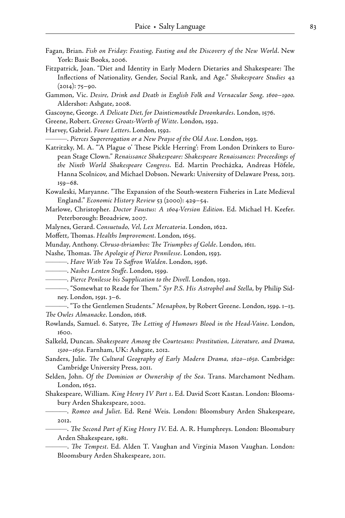- Fagan, Brian. *Fish on Friday: Feasting, Fasting and the Discovery of the New World*. New York: Basic Books, 2006.
- Fitzpatrick, Joan. "Diet and Identity in Early Modern Dietaries and Shakespeare: The Inflections of Nationality, Gender, Social Rank, and Age." *Shakespeare Studies* 42 (2014): 75–90.
- Gammon, Vic. *Desire, Drink and Death in English Folk and Vernacular Song, 1600–1900.* Aldershot: Ashgate, 2008.
- Gascoyne, George. *A Delicate Diet, for Daintiemouthde Droonkardes*. London, 1576.
- Greene, Robert. *Greenes Groats- Worth of Witte*. London, 1592.
- Harvey, Gabriel. *Foure Letters*. London, 1592.

———. *Pierces Supererogation or a New Prayse of the Old Asse*. London, 1593.

Katritzky, M. A. "A Plague o' These Pickle Herring': From London Drinkers to European Stage Clown." *Renaissance Shakespeare: Shakespeare Renaissances: Proceedings of the Ninth World Shakespeare Congress*. Ed. Martin Procházka, Andreas Höfele, Hanna Scolnicov, and Michael Dobson. Newark: University of Delaware Press, 2013. 159–68.

Kowaleski, Maryanne. "The Expansion of the South- western Fisheries in Late Medieval England." *Economic History Review* 53 (2000): 429–54.

- Marlowe, Christopher. *Doctor Faustus: A 1604- Version Edition*. Ed. Michael H. Keefer. Peterborough: Broadview, 2007.
- Malynes, Gerard. *Consuetudo, Vel, Lex Mercatoria*. London, 1622.
- Moffett, Thomas. *Healths Improvement*. London, 1655.
- Munday, Anthony. *Chruso- thriambos: The Triumphes of Golde*. London, 1611.

Nashe, Thomas. *The Apologie of Pierce Pennilesse*. London, 1593.

- ———. *Have With You To Saffron Walden*. London, 1596.
- ———. *Nashes Lenten Stuffe*. London, 1599.
- ———*. Pierce Penilesse his Supplication to the Divell*. London, 1592.
- ———. "Somewhat to Reade for Them." *Syr P.S. His Astrophel and Stella*, by Philip Sidney. London, 1591. 3–6.

———. "To the Gentlemen Students." *Menaphon*, by Robert Greene. London, 1599. 1–13. *The Owles Almanacke*. London, 1618.

- Rowlands, Samuel. 6. Satyre, *The Letting of Humours Blood in the Head- Vaine*. London, 1600.
- Salkeld, Duncan. *Shakespeare Among the Courtesans: Prostitution, Literature, and Drama, 1500–1650*. Farnham, UK: Ashgate, 2012.
- Sanders, Julie. *The Cultural Geography of Early Modern Drama, 1620–1650*. Cambridge: Cambridge University Press, 2011.
- Selden, John. *Of the Dominion or Ownership of the Sea*. Trans. Marchamont Nedham. London, 1652.
- Shakespeare, William. *King Henry IV Part 1*. Ed. David Scott Kastan. London: Bloomsbury Arden Shakespeare, 2002.

———. *Romeo and Juliet*. Ed. René Weis. London: Bloomsbury Arden Shakespeare, 2012.

———. *The Second Part of King Henry IV*. Ed. A. R. Humphreys. London: Bloomsbury Arden Shakespeare, 1981.

———. *The Tempest*. Ed. Alden T. Vaughan and Virginia Mason Vaughan. London: Bloomsbury Arden Shakespeare, 2011.